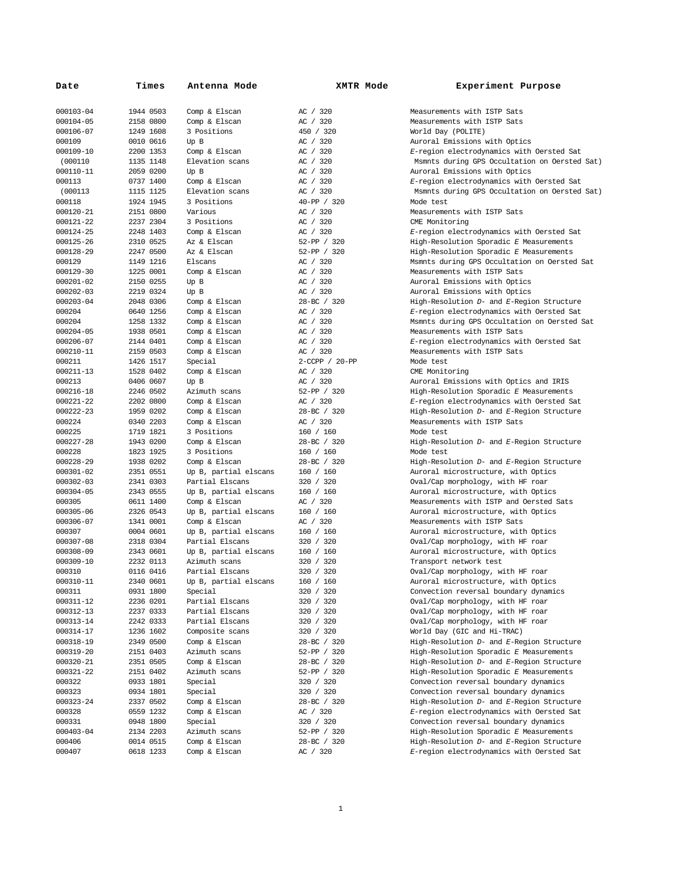| Date      | Times     | Antenna Mode          | XMTR Mode      | Experiment Purpose                            |
|-----------|-----------|-----------------------|----------------|-----------------------------------------------|
| 000103-04 | 1944 0503 | Comp & Elscan         | AC / 320       | Measurements with ISTP Sats                   |
| 000104-05 | 2158 0800 | Comp & Elscan         | AC / 320       | Measurements with ISTP Sats                   |
| 000106-07 | 1249 1608 | 3 Positions           | 450 / 320      | World Day (POLITE)                            |
| 000109    | 0010 0616 | Up B                  | AC / 320       | Auroral Emissions with Optics                 |
| 000109-10 | 2200 1353 | Comp & Elscan         | AC / 320       | E-region electrodynamics with Oersted Sat     |
| (000110   | 1135 1148 | Elevation scans       | AC / 320       | Msmnts during GPS Occultation on Oersted Sat) |
| 000110-11 | 2059 0200 | Up B                  | AC / 320       | Auroral Emissions with Optics                 |
| 000113    | 0737 1400 | Comp & Elscan         | AC / 320       | E-region electrodynamics with Oersted Sat     |
| (000113)  | 1115 1125 | Elevation scans       | AC / 320       | Msmnts during GPS Occultation on Oersted Sat) |
| 000118    | 1924 1945 | 3 Positions           | 40-PP / 320    | Mode test                                     |
| 000120-21 | 2151 0800 | Various               | AC / 320       | Measurements with ISTP Sats                   |
| 000121-22 | 2237 2304 | 3 Positions           | AC / 320       | CME Monitoring                                |
| 000124-25 | 2248 1403 | Comp & Elscan         | AC / 320       | E-region electrodynamics with Oersted Sat     |
| 000125-26 | 2310 0525 | Az & Elscan           | 52-PP / 320    | High-Resolution Sporadic E Measurements       |
| 000128-29 | 2247 0500 | Az & Elscan           | 52-PP / 320    | High-Resolution Sporadic E Measurements       |
| 000129    | 1149 1216 | Elscans               | AC / 320       | Msmnts during GPS Occultation on Oersted Sat  |
| 000129-30 | 1225 0001 | Comp & Elscan         | AC / 320       | Measurements with ISTP Sats                   |
| 000201-02 | 2150 0255 | Up B                  | AC / 320       | Auroral Emissions with Optics                 |
| 000202-03 | 2219 0324 | Up B                  | AC / 320       | Auroral Emissions with Optics                 |
| 000203-04 | 2048 0306 | Comp & Elscan         | 28-BC / 320    | High-Resolution D- and E-Region Structure     |
| 000204    | 0640 1256 | Comp & Elscan         | AC / 320       | E-region electrodynamics with Oersted Sat     |
| 000204    | 1258 1332 | Comp & Elscan         | AC / 320       | Msmnts during GPS Occultation on Oersted Sat  |
| 000204-05 | 1938 0501 | Comp & Elscan         | AC / 320       | Measurements with ISTP Sats                   |
| 000206-07 | 2144 0401 | Comp & Elscan         | AC / 320       | E-region electrodynamics with Oersted Sat     |
| 000210-11 | 2159 0503 | Comp & Elscan         | AC / 320       | Measurements with ISTP Sats                   |
| 000211    | 1426 1517 | Special               | 2-CCPP / 20-PP | Mode test                                     |
| 000211-13 | 1528 0402 | Comp & Elscan         | AC / 320       | CME Monitoring                                |
| 000213    | 0406 0607 | Up B                  | AC / 320       | Auroral Emissions with Optics and IRIS        |
| 000216-18 | 2246 0502 | Azimuth scans         | 52-PP / 320    | High-Resolution Sporadic E Measurements       |
| 000221-22 | 2202 0800 | Comp & Elscan         | AC / 320       | E-region electrodynamics with Oersted Sat     |
| 000222-23 | 1959 0202 | Comp & Elscan         | 28-BC / 320    | High-Resolution D- and E-Region Structure     |
| 000224    | 0340 2203 | Comp & Elscan         | AC / 320       | Measurements with ISTP Sats                   |
| 000225    | 1719 1821 | 3 Positions           | 160 / 160      | Mode test                                     |
| 000227-28 | 1943 0200 | Comp & Elscan         | 28-BC / 320    | High-Resolution D- and E-Region Structure     |
| 000228    | 1823 1925 | 3 Positions           | 160 / 160      | Mode test                                     |
| 000228-29 | 1938 0202 | Comp & Elscan         | 28-BC / 320    | High-Resolution D- and E-Region Structure     |
| 000301-02 | 2351 0551 | Up B, partial elscans | 160 / 160      | Auroral microstructure, with Optics           |
| 000302-03 | 2341 0303 | Partial Elscans       | 320 / 320      | Oval/Cap morphology, with HF roar             |
| 000304-05 | 2343 0555 | Up B, partial elscans | 160 / 160      | Auroral microstructure, with Optics           |
| 000305    | 0611 1400 | Comp & Elscan         | AC / 320       | Measurements with ISTP and Oersted Sats       |
| 000305-06 | 2326 0543 | Up B, partial elscans | 160 / 160      | Auroral microstructure, with Optics           |
| 000306-07 | 1341 0001 | Comp & Elscan         | AC / 320       | Measurements with ISTP Sats                   |
| 000307    | 0004 0601 | Up B, partial elscans | 160 / 160      | Auroral microstructure, with Optics           |
| 000307-08 | 2318 0304 | Partial Elscans       | 320 / 320      | Oval/Cap morphology, with HF roar             |
| 000308-09 | 2343 0601 | Up B, partial elscans | 160 / 160      | Auroral microstructure, with Optics           |
| 000309-10 | 2232 0113 | Azimuth scans         | 320 / 320      | Transport network test                        |
| 000310    | 0116 0416 | Partial Elscans       | 320 / 320      | Oval/Cap morphology, with HF roar             |
| 000310-11 | 2340 0601 | Up B, partial elscans | 160 / 160      | Auroral microstructure, with Optics           |
| 000311    | 0931 1800 | Special               | 320 / 320      | Convection reversal boundary dynamics         |
| 000311-12 | 2236 0201 | Partial Elscans       | 320 / 320      | Oval/Cap morphology, with HF roar             |
| 000312-13 | 2237 0333 | Partial Elscans       | 320 / 320      | Oval/Cap morphology, with HF roar             |
| 000313-14 | 2242 0333 | Partial Elscans       | 320 / 320      | Oval/Cap morphology, with HF roar             |
| 000314-17 | 1236 1602 | Composite scans       | 320 / 320      | World Day (GIC and Hi-TRAC)                   |
| 000318-19 | 2349 0500 | Comp & Elscan         | 28-BC / 320    | High-Resolution D- and E-Region Structure     |
| 000319-20 | 2151 0403 | Azimuth scans         | 52-PP / 320    | High-Resolution Sporadic E Measurements       |
| 000320-21 | 2351 0505 | Comp & Elscan         | 28-BC / 320    | High-Resolution D- and E-Region Structure     |
| 000321-22 | 2151 0402 | Azimuth scans         | 52-PP / 320    | High-Resolution Sporadic E Measurements       |
| 000322    | 0933 1801 | Special               | 320 / 320      | Convection reversal boundary dynamics         |
| 000323    | 0934 1801 | Special               | 320 / 320      | Convection reversal boundary dynamics         |
| 000323-24 | 2337 0502 | Comp & Elscan         | 28-BC / 320    | High-Resolution D- and E-Region Structure     |
| 000328    | 0559 1232 | Comp & Elscan         | AC / 320       | E-region electrodynamics with Oersted Sat     |
| 000331    | 0948 1800 | Special               | 320 / 320      | Convection reversal boundary dynamics         |
| 000403-04 | 2134 2203 | Azimuth scans         | 52-PP / 320    | High-Resolution Sporadic E Measurements       |
| 000406    | 0014 0515 | Comp & Elscan         | 28-BC / 320    | High-Resolution D- and E-Region Structure     |
| 000407    | 0618 1233 | Comp & Elscan         | AC / 320       | E-region electrodynamics with Oersted Sat     |
|           |           |                       |                |                                               |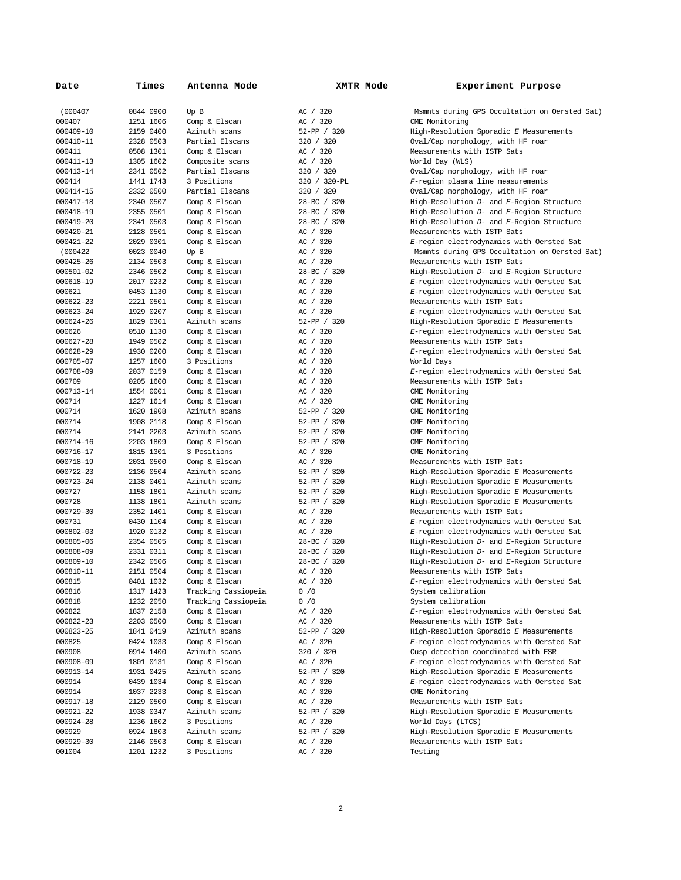| Date      | Times     | Antenna Mode        | <b>XMTR Mode</b> | Experiment Purpose                            |
|-----------|-----------|---------------------|------------------|-----------------------------------------------|
| (000407   | 0844 0900 | Up B                | AC / 320         | Msmnts during GPS Occultation on Oersted Sat) |
| 000407    | 1251 1606 | Comp & Elscan       | AC / 320         | CME Monitoring                                |
| 000409-10 | 2159 0400 | Azimuth scans       | 52-PP / 320      | High-Resolution Sporadic E Measurements       |
| 000410-11 | 2328 0503 | Partial Elscans     | 320 / 320        | Oval/Cap morphology, with HF roar             |
| 000411    | 0508 1301 | Comp & Elscan       | AC / 320         | Measurements with ISTP Sats                   |
| 000411-13 | 1305 1602 | Composite scans     | AC / 320         | World Day (WLS)                               |
| 000413-14 | 2341 0502 | Partial Elscans     | 320 / 320        | Oval/Cap morphology, with HF roar             |
| 000414    | 1441 1743 | 3 Positions         | 320 / 320-PL     | F-region plasma line measurements             |
| 000414-15 | 2332 0500 | Partial Elscans     | 320 / 320        | Oval/Cap morphology, with HF roar             |
| 000417-18 | 2340 0507 | Comp & Elscan       | 28-BC / 320      | High-Resolution D- and E-Region Structure     |
| 000418-19 | 2355 0501 | Comp & Elscan       | 28-BC / 320      | High-Resolution D- and E-Region Structure     |
| 000419-20 | 2341 0503 | Comp & Elscan       | 28-BC / 320      | High-Resolution D- and E-Region Structure     |
| 000420-21 | 2128 0501 | Comp & Elscan       | AC / 320         | Measurements with ISTP Sats                   |
| 000421-22 | 2029 0301 | Comp & Elscan       | AC / 320         | E-region electrodynamics with Oersted Sat     |
| (000422)  | 0023 0040 | Up B                | AC / 320         | Msmnts during GPS Occultation on Oersted Sat) |
| 000425-26 | 2134 0503 | Comp & Elscan       | AC / 320         | Measurements with ISTP Sats                   |
| 000501-02 | 2346 0502 | Comp & Elscan       | 28-BC / 320      | High-Resolution D- and E-Region Structure     |
| 000618-19 | 2017 0232 | Comp & Elscan       | AC / 320         | E-region electrodynamics with Oersted Sat     |
| 000621    | 0453 1130 | Comp & Elscan       | AC / 320         | E-region electrodynamics with Oersted Sat     |
| 000622-23 | 2221 0501 | Comp & Elscan       | AC / 320         | Measurements with ISTP Sats                   |
| 000623-24 | 1929 0207 | Comp & Elscan       | AC / 320         | E-region electrodynamics with Oersted Sat     |
| 000624-26 | 1829 0301 | Azimuth scans       | 52-PP / 320      | High-Resolution Sporadic E Measurements       |
| 000626    | 0510 1130 | Comp & Elscan       | AC / 320         | E-region electrodynamics with Oersted Sat     |
| 000627-28 | 1949 0502 | Comp & Elscan       | AC / 320         | Measurements with ISTP Sats                   |
| 000628-29 | 1930 0200 | Comp & Elscan       | AC / 320         | E-region electrodynamics with Oersted Sat     |
| 000705-07 | 1257 1600 | 3 Positions         | AC / 320         | World Days                                    |
| 000708-09 | 2037 0159 | Comp & Elscan       | AC / 320         | E-region electrodynamics with Oersted Sat     |
| 000709    | 0205 1600 | Comp & Elscan       | AC / 320         | Measurements with ISTP Sats                   |
| 000713-14 | 1554 0001 | Comp & Elscan       | AC / 320         | CME Monitoring                                |
| 000714    | 1227 1614 | Comp & Elscan       | AC / 320         | CME Monitoring                                |
| 000714    | 1620 1908 | Azimuth scans       | 52-PP / 320      | CME Monitoring                                |
| 000714    | 1908 2118 | Comp & Elscan       | 52-PP / 320      | CME Monitoring                                |
| 000714    | 2141 2203 | Azimuth scans       | 52-PP / 320      | CME Monitoring                                |
| 000714-16 | 2203 1809 | Comp & Elscan       | 52-PP / 320      | CME Monitoring                                |
| 000716-17 | 1815 1301 | 3 Positions         | AC / 320         | CME Monitoring                                |
| 000718-19 | 2031 0500 | Comp & Elscan       | AC / 320         | Measurements with ISTP Sats                   |
| 000722-23 | 2136 0504 | Azimuth scans       | 52-PP / 320      | High-Resolution Sporadic E Measurements       |
| 000723-24 | 2138 0401 | Azimuth scans       | 52-PP / 320      | High-Resolution Sporadic E Measurements       |
| 000727    | 1158 1801 | Azimuth scans       | 52-PP / 320      | High-Resolution Sporadic E Measurements       |
| 000728    | 1138 1801 | Azimuth scans       | 52-PP / 320      | High-Resolution Sporadic E Measurements       |
| 000729-30 | 2352 1401 | Comp & Elscan       | AC / 320         | Measurements with ISTP Sats                   |
| 000731    | 0430 1104 | Comp & Elscan       | AC / 320         | E-region electrodynamics with Oersted Sat     |
| 000802-03 | 1920 0132 | Comp & Elscan       | AC / 320         | E-region electrodynamics with Oersted Sat     |
| 000805-06 | 2354 0505 | Comp & Elscan       | 28-BC / 320      | High-Resolution D- and E-Region Structure     |
| 000808-09 | 2331 0311 | Comp & Elscan       | 28-BC / 320      | High-Resolution D- and E-Region Structure     |
| 000809-10 | 2342 0506 | Comp & Elscan       | 28-BC / 320      | High-Resolution D- and E-Region Structure     |
| 000810-11 | 2151 0504 | Comp & Elscan       | AC / 320         | Measurements with ISTP Sats                   |
| 000815    | 0401 1032 | Comp & Elscan       | AC / 320         | E-region electrodynamics with Oersted Sat     |
| 000816    | 1317 1423 | Tracking Cassiopeia | 0 / 0            | System calibration                            |
| 000818    | 1232 2050 | Tracking Cassiopeia | 0 / 0            | System calibration                            |
| 000822    | 1837 2158 | Comp & Elscan       | AC / 320         | E-region electrodynamics with Oersted Sat     |
| 000822-23 | 2203 0500 | Comp & Elscan       | AC / 320         | Measurements with ISTP Sats                   |
| 000823-25 | 1841 0419 | Azimuth scans       | 52-PP / 320      | High-Resolution Sporadic E Measurements       |
| 000825    | 0424 1033 | Comp & Elscan       | AC / 320         | E-region electrodynamics with Oersted Sat     |
| 000908    | 0914 1400 | Azimuth scans       | 320 / 320        | Cusp detection coordinated with ESR           |
| 000908-09 | 1801 0131 | Comp & Elscan       | AC / 320         | E-region electrodynamics with Oersted Sat     |
| 000913-14 | 1931 0425 | Azimuth scans       | 52-PP / 320      | High-Resolution Sporadic E Measurements       |
| 000914    | 0439 1034 | Comp & Elscan       | AC / 320         | E-region electrodynamics with Oersted Sat     |
| 000914    | 1037 2233 | Comp & Elscan       | AC / 320         | CME Monitoring                                |
| 000917-18 | 2129 0500 | Comp & Elscan       | AC / 320         | Measurements with ISTP Sats                   |
| 000921-22 | 1938 0347 | Azimuth scans       | 52-PP / 320      | High-Resolution Sporadic E Measurements       |
| 000924-28 | 1236 1602 | 3 Positions         | AC / 320         | World Days (LTCS)                             |
| 000929    | 0924 1803 | Azimuth scans       | 52-PP / 320      | High-Resolution Sporadic E Measurements       |
| 000929-30 | 2146 0503 | Comp & Elscan       | AC / 320         | Measurements with ISTP Sats                   |
| 001004    | 1201 1232 | 3 Positions         | AC / 320         | Testing                                       |